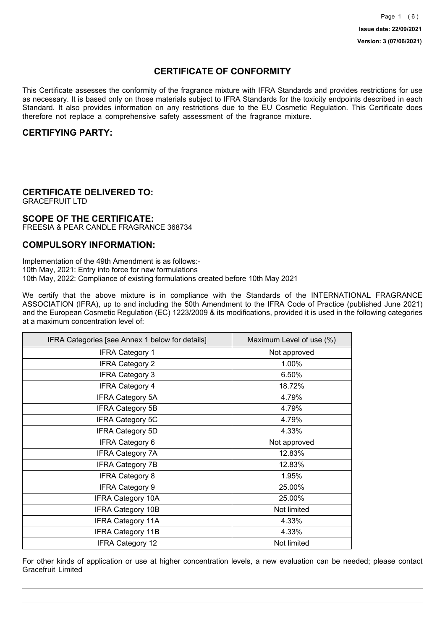## **CERTIFICATE OF CONFORMITY**

This Certificate assesses the conformity of the fragrance mixture with IFRA Standards and provides restrictions for use as necessary. It is based only on those materials subject to IFRA Standards for the toxicity endpoints described in each Standard. It also provides information on any restrictions due to the EU Cosmetic Regulation. This Certificate does therefore not replace a comprehensive safety assessment of the fragrance mixture.

### **CERTIFYING PARTY:**

## **CERTIFICATE DELIVERED TO:**

GRACEFRUIT LTD

### **SCOPE OF THE CERTIFICATE:**

FREESIA & PEAR CANDLE FRAGRANCE 368734

### **COMPULSORY INFORMATION:**

Implementation of the 49th Amendment is as follows:- 10th May, 2021: Entry into force for new formulations 10th May, 2022: Compliance of existing formulations created before 10th May 2021

We certify that the above mixture is in compliance with the Standards of the INTERNATIONAL FRAGRANCE ASSOCIATION (IFRA), up to and including the 50th Amendment to the IFRA Code of Practice (published June 2021) and the European Cosmetic Regulation (EC) 1223/2009 & its modifications, provided it is used in the following categories at a maximum concentration level of:

| IFRA Categories [see Annex 1 below for details] | Maximum Level of use (%) |
|-------------------------------------------------|--------------------------|
| <b>IFRA Category 1</b>                          | Not approved             |
| <b>IFRA Category 2</b>                          | 1.00%                    |
| <b>IFRA Category 3</b>                          | 6.50%                    |
| <b>IFRA Category 4</b>                          | 18.72%                   |
| <b>IFRA Category 5A</b>                         | 4.79%                    |
| <b>IFRA Category 5B</b>                         | 4.79%                    |
| <b>IFRA Category 5C</b>                         | 4.79%                    |
| <b>IFRA Category 5D</b>                         | 4.33%                    |
| <b>IFRA Category 6</b>                          | Not approved             |
| <b>IFRA Category 7A</b>                         | 12.83%                   |
| <b>IFRA Category 7B</b>                         | 12.83%                   |
| <b>IFRA Category 8</b>                          | 1.95%                    |
| <b>IFRA Category 9</b>                          | 25.00%                   |
| <b>IFRA Category 10A</b>                        | 25.00%                   |
| <b>IFRA Category 10B</b>                        | Not limited              |
| <b>IFRA Category 11A</b>                        | 4.33%                    |
| <b>IFRA Category 11B</b>                        | 4.33%                    |
| <b>IFRA Category 12</b>                         | Not limited              |

For other kinds of application or use at higher concentration levels, a new evaluation can be needed; please contact Gracefruit Limited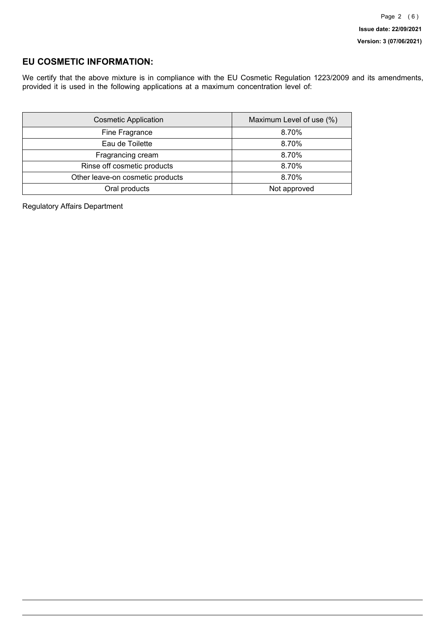## **EU COSMETIC INFORMATION:**

We certify that the above mixture is in compliance with the EU Cosmetic Regulation 1223/2009 and its amendments, provided it is used in the following applications at a maximum concentration level of:

| <b>Cosmetic Application</b>      | Maximum Level of use (%) |
|----------------------------------|--------------------------|
| Fine Fragrance                   | 8.70%                    |
| Eau de Toilette                  | 8.70%                    |
| Fragrancing cream                | 8.70%                    |
| Rinse off cosmetic products      | 8.70%                    |
| Other leave-on cosmetic products | 8.70%                    |
| Oral products                    | Not approved             |

Regulatory Affairs Department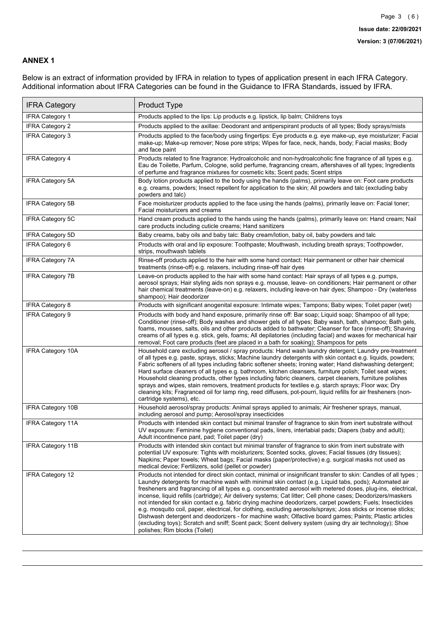### **ANNEX 1**

Below is an extract of information provided by IFRA in relation to types of application present in each IFRA Category. Additional information about IFRA Categories can be found in the Guidance to IFRA Standards, issued by IFRA.

| <b>IFRA Category</b>     | <b>Product Type</b>                                                                                                                                                                                                                                                                                                                                                                                                                                                                                                                                                                                                                                                                                                                                                                                                                                                                                                                          |
|--------------------------|----------------------------------------------------------------------------------------------------------------------------------------------------------------------------------------------------------------------------------------------------------------------------------------------------------------------------------------------------------------------------------------------------------------------------------------------------------------------------------------------------------------------------------------------------------------------------------------------------------------------------------------------------------------------------------------------------------------------------------------------------------------------------------------------------------------------------------------------------------------------------------------------------------------------------------------------|
| <b>IFRA Category 1</b>   | Products applied to the lips: Lip products e.g. lipstick, lip balm; Childrens toys                                                                                                                                                                                                                                                                                                                                                                                                                                                                                                                                                                                                                                                                                                                                                                                                                                                           |
| <b>IFRA Category 2</b>   | Products applied to the axillae: Deodorant and antiperspirant products of all types; Body sprays/mists                                                                                                                                                                                                                                                                                                                                                                                                                                                                                                                                                                                                                                                                                                                                                                                                                                       |
| IFRA Category 3          | Products applied to the face/body using fingertips: Eye products e.g. eye make-up, eye moisturizer; Facial<br>make-up; Make-up remover; Nose pore strips; Wipes for face, neck, hands, body; Facial masks; Body<br>and face paint                                                                                                                                                                                                                                                                                                                                                                                                                                                                                                                                                                                                                                                                                                            |
| <b>IFRA Category 4</b>   | Products related to fine fragrance: Hydroalcoholic and non-hydroalcoholic fine fragrance of all types e.g.<br>Eau de Toilette, Parfum, Cologne, solid perfume, fragrancing cream, aftershaves of all types; Ingredients<br>of perfume and fragrance mixtures for cosmetic kits; Scent pads; Scent strips                                                                                                                                                                                                                                                                                                                                                                                                                                                                                                                                                                                                                                     |
| <b>IFRA Category 5A</b>  | Body lotion products applied to the body using the hands (palms), primarily leave on: Foot care products<br>e.g. creams, powders; Insect repellent for application to the skin; All powders and talc (excluding baby<br>powders and talc)                                                                                                                                                                                                                                                                                                                                                                                                                                                                                                                                                                                                                                                                                                    |
| IFRA Category 5B         | Face moisturizer products applied to the face using the hands (palms), primarily leave on: Facial toner;<br>Facial moisturizers and creams                                                                                                                                                                                                                                                                                                                                                                                                                                                                                                                                                                                                                                                                                                                                                                                                   |
| IFRA Category 5C         | Hand cream products applied to the hands using the hands (palms), primarily leave on: Hand cream; Nail<br>care products including cuticle creams; Hand sanitizers                                                                                                                                                                                                                                                                                                                                                                                                                                                                                                                                                                                                                                                                                                                                                                            |
| <b>IFRA Category 5D</b>  | Baby creams, baby oils and baby talc: Baby cream/lotion, baby oil, baby powders and talc                                                                                                                                                                                                                                                                                                                                                                                                                                                                                                                                                                                                                                                                                                                                                                                                                                                     |
| <b>IFRA Category 6</b>   | Products with oral and lip exposure: Toothpaste; Mouthwash, including breath sprays; Toothpowder,<br>strips, mouthwash tablets                                                                                                                                                                                                                                                                                                                                                                                                                                                                                                                                                                                                                                                                                                                                                                                                               |
| <b>IFRA Category 7A</b>  | Rinse-off products applied to the hair with some hand contact: Hair permanent or other hair chemical<br>treatments (rinse-off) e.g. relaxers, including rinse-off hair dyes                                                                                                                                                                                                                                                                                                                                                                                                                                                                                                                                                                                                                                                                                                                                                                  |
| <b>IFRA Category 7B</b>  | Leave-on products applied to the hair with some hand contact: Hair sprays of all types e.g. pumps,<br>aerosol sprays; Hair styling aids non sprays e.g. mousse, leave- on conditioners; Hair permanent or other<br>hair chemical treatments (leave-on) e.g. relaxers, including leave-on hair dyes; Shampoo - Dry (waterless<br>shampoo); Hair deodorizer                                                                                                                                                                                                                                                                                                                                                                                                                                                                                                                                                                                    |
| <b>IFRA Category 8</b>   | Products with significant anogenital exposure: Intimate wipes; Tampons; Baby wipes; Toilet paper (wet)                                                                                                                                                                                                                                                                                                                                                                                                                                                                                                                                                                                                                                                                                                                                                                                                                                       |
| <b>IFRA Category 9</b>   | Products with body and hand exposure, primarily rinse off: Bar soap; Liquid soap; Shampoo of all type;<br>Conditioner (rinse-off); Body washes and shower gels of all types; Baby wash, bath, shampoo; Bath gels,<br>foams, mousses, salts, oils and other products added to bathwater; Cleanser for face (rinse-off); Shaving<br>creams of all types e.g. stick, gels, foams; All depilatories (including facial) and waxes for mechanical hair<br>removal; Foot care products (feet are placed in a bath for soaking); Shampoos for pets                                                                                                                                                                                                                                                                                                                                                                                                   |
| <b>IFRA Category 10A</b> | Household care excluding aerosol / spray products: Hand wash laundry detergent; Laundry pre-treatment<br>of all types e.g. paste, sprays, sticks; Machine laundry detergents with skin contact e.g. liquids, powders;<br>Fabric softeners of all types including fabric softener sheets; Ironing water; Hand dishwashing detergent;<br>Hard surface cleaners of all types e.g. bathroom, kitchen cleansers, furniture polish; Toilet seat wipes;<br>Household cleaning products, other types including fabric cleaners, carpet cleaners, furniture polishes<br>sprays and wipes, stain removers, treatment products for textiles e.g. starch sprays; Floor wax; Dry<br>cleaning kits; Fragranced oil for lamp ring, reed diffusers, pot-pourri, liquid refills for air fresheners (non-<br>cartridge systems), etc.                                                                                                                          |
| <b>IFRA Category 10B</b> | Household aerosol/spray products: Animal sprays applied to animals; Air freshener sprays, manual,<br>including aerosol and pump; Aerosol/spray insecticides                                                                                                                                                                                                                                                                                                                                                                                                                                                                                                                                                                                                                                                                                                                                                                                  |
| <b>IFRA Category 11A</b> | Products with intended skin contact but minimal transfer of fragrance to skin from inert substrate without<br>UV exposure: Feminine hygiene conventional pads, liners, interlabial pads; Diapers (baby and adult);<br>Adult incontinence pant, pad; Toilet paper (dry)                                                                                                                                                                                                                                                                                                                                                                                                                                                                                                                                                                                                                                                                       |
| <b>IFRA Category 11B</b> | Products with intended skin contact but minimal transfer of fragrance to skin from inert substrate with<br>potential UV exposure: Tights with moisturizers; Scented socks, gloves; Facial tissues (dry tissues);<br>Napkins; Paper towels; Wheat bags; Facial masks (paper/protective) e.g. surgical masks not used as<br>medical device; Fertilizers, solid (pellet or powder)                                                                                                                                                                                                                                                                                                                                                                                                                                                                                                                                                              |
| <b>IFRA Category 12</b>  | Products not intended for direct skin contact, minimal or insignificant transfer to skin: Candles of all types;<br>Laundry detergents for machine wash with minimal skin contact (e.g. Liquid tabs, pods); Automated air<br>fresheners and fragrancing of all types e.g. concentrated aerosol with metered doses, plug-ins, electrical,<br>incense, liquid refills (cartridge); Air delivery systems; Cat litter; Cell phone cases; Deodorizers/maskers<br>not intended for skin contact e.g. fabric drying machine deodorizers, carpet powders; Fuels; Insecticides<br>e.g. mosquito coil, paper, electrical, for clothing, excluding aerosols/sprays; Joss sticks or incense sticks;<br>Dishwash detergent and deodorizers - for machine wash; Olfactive board games; Paints; Plastic articles<br>(excluding toys); Scratch and sniff; Scent pack; Scent delivery system (using dry air technology); Shoe<br>polishes; Rim blocks (Toilet) |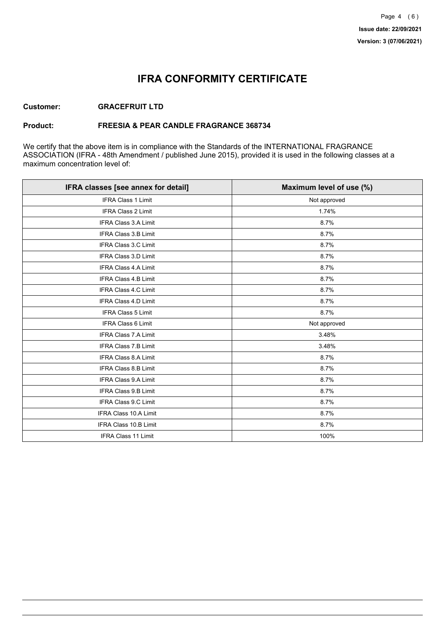## **IFRA CONFORMITY CERTIFICATE**

### **Customer: GRACEFRUIT LTD**

### **Product: FREESIA & PEAR CANDLE FRAGRANCE 368734**

We certify that the above item is in compliance with the Standards of the INTERNATIONAL FRAGRANCE ASSOCIATION (IFRA - 48th Amendment / published June 2015), provided it is used in the following classes at a maximum concentration level of:

| IFRA classes [see annex for detail] | Maximum level of use (%) |
|-------------------------------------|--------------------------|
| <b>IFRA Class 1 Limit</b>           | Not approved             |
| IFRA Class 2 Limit                  | 1.74%                    |
| <b>IFRA Class 3.A Limit</b>         | 8.7%                     |
| IFRA Class 3.B Limit                | 8.7%                     |
| IFRA Class 3.C Limit                | 8.7%                     |
| IFRA Class 3.D Limit                | 8.7%                     |
| <b>IFRA Class 4.A Limit</b>         | 8.7%                     |
| <b>IFRA Class 4.B Limit</b>         | 8.7%                     |
| IFRA Class 4.C Limit                | 8.7%                     |
| <b>IFRA Class 4.D Limit</b>         | 8.7%                     |
| <b>IFRA Class 5 Limit</b>           | 8.7%                     |
| <b>IFRA Class 6 Limit</b>           | Not approved             |
| <b>IFRA Class 7.A Limit</b>         | 3.48%                    |
| IFRA Class 7.B Limit                | 3.48%                    |
| IFRA Class 8.A Limit                | 8.7%                     |
| IFRA Class 8.B Limit                | 8.7%                     |
| <b>IFRA Class 9.A Limit</b>         | 8.7%                     |
| <b>IFRA Class 9.B Limit</b>         | 8.7%                     |
| IFRA Class 9.C Limit                | 8.7%                     |
| IFRA Class 10.A Limit               | 8.7%                     |
| IFRA Class 10.B Limit               | 8.7%                     |
| <b>IFRA Class 11 Limit</b>          | 100%                     |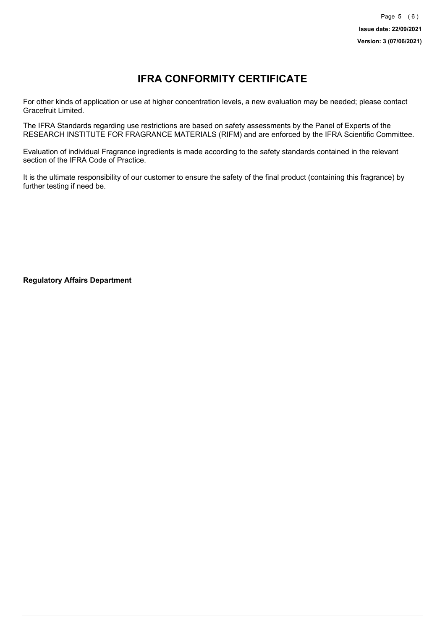# **IFRA CONFORMITY CERTIFICATE**

For other kinds of application or use at higher concentration levels, a new evaluation may be needed; please contact Gracefruit Limited.

The IFRA Standards regarding use restrictions are based on safety assessments by the Panel of Experts of the RESEARCH INSTITUTE FOR FRAGRANCE MATERIALS (RIFM) and are enforced by the IFRA Scientific Committee.

Evaluation of individual Fragrance ingredients is made according to the safety standards contained in the relevant section of the IFRA Code of Practice.

It is the ultimate responsibility of our customer to ensure the safety of the final product (containing this fragrance) by further testing if need be.

**Regulatory Affairs Department**